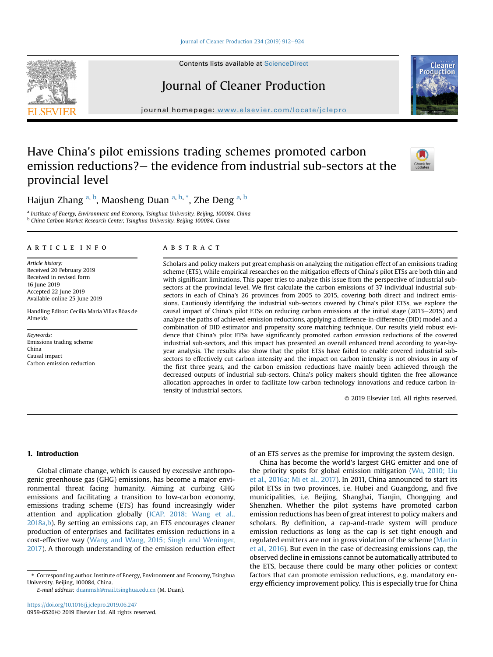#### [Journal of Cleaner Production 234 \(2019\) 912](https://doi.org/10.1016/j.jclepro.2019.06.247)-[924](https://doi.org/10.1016/j.jclepro.2019.06.247)

Contents lists available at ScienceDirect

# Journal of Cleaner Production

journal homepage: [www.elsevier.com/locate/jclepro](http://www.elsevier.com/locate/jclepro)

# Have China's pilot emissions trading schemes promoted carbon emission reductions? – the evidence from industrial sub-sectors at the provincial level

Haijun Zhang <sup>a, b</sup>, Maosheng Duan <sup>a, b,</sup> \*, Zhe Deng <sup>a, b</sup>

<sup>a</sup> Institute of Energy, Environment and Economy, Tsinghua University. Beijing, 100084, China <sup>b</sup> China Carbon Market Research Center, Tsinghua University. Beijing 100084, China

## article info

Article history: Received 20 February 2019 Received in revised form 16 June 2019 Accepted 22 June 2019 Available online 25 June 2019

Handling Editor: Cecilia Maria Villas Bôas de Almeida

Keywords: Emissions trading scheme China Causal impact Carbon emission reduction

# ABSTRACT

Scholars and policy makers put great emphasis on analyzing the mitigation effect of an emissions trading scheme (ETS), while empirical researches on the mitigation effects of China's pilot ETSs are both thin and with significant limitations. This paper tries to analyze this issue from the perspective of industrial subsectors at the provincial level. We first calculate the carbon emissions of 37 individual industrial subsectors in each of China's 26 provinces from 2005 to 2015, covering both direct and indirect emissions. Cautiously identifying the industrial sub-sectors covered by China's pilot ETSs, we explore the causal impact of China's pilot ETSs on reducing carbon emissions at the initial stage (2013–2015) and analyze the paths of achieved emission reductions, applying a difference-in-difference (DID) model and a combination of DID estimator and propensity score matching technique. Our results yield robust evidence that China's pilot ETSs have significantly promoted carbon emission reductions of the covered industrial sub-sectors, and this impact has presented an overall enhanced trend according to year-byyear analysis. The results also show that the pilot ETSs have failed to enable covered industrial subsectors to effectively cut carbon intensity and the impact on carbon intensity is not obvious in any of the first three years, and the carbon emission reductions have mainly been achieved through the decreased outputs of industrial sub-sectors. China's policy makers should tighten the free allowance allocation approaches in order to facilitate low-carbon technology innovations and reduce carbon intensity of industrial sectors.

© 2019 Elsevier Ltd. All rights reserved.

# 1. Introduction

Global climate change, which is caused by excessive anthropogenic greenhouse gas (GHG) emissions, has become a major environmental threat facing humanity. Aiming at curbing GHG emissions and facilitating a transition to low-carbon economy, emissions trading scheme (ETS) has found increasingly wider attention and application globally [\(ICAP, 2018; Wang et al.,](#page-11-0) [2018a,b\)](#page-11-0). By setting an emissions cap, an ETS encourages cleaner production of enterprises and facilitates emission reductions in a cost-effective way ([Wang and Wang, 2015; Singh and Weninger,](#page-12-0) [2017\)](#page-12-0). A thorough understanding of the emission reduction effect

E-mail address: [duanmsh@mail.tsinghua.edu.cn](mailto:duanmsh@mail.tsinghua.edu.cn) (M. Duan).

of an ETS serves as the premise for improving the system design.

China has become the world's largest GHG emitter and one of the priority spots for global emission mitigation ([Wu, 2010; Liu](#page-12-0) [et al., 2016a; Mi et al., 2017](#page-12-0)). In 2011, China announced to start its pilot ETSs in two provinces, i.e. Hubei and Guangdong, and five municipalities, i.e. Beijing, Shanghai, Tianjin, Chongqing and Shenzhen. Whether the pilot systems have promoted carbon emission reductions has been of great interest to policy makers and scholars. By definition, a cap-and-trade system will produce emission reductions as long as the cap is set tight enough and regulated emitters are not in gross violation of the scheme [\(Martin](#page-11-0) [et al., 2016\)](#page-11-0). But even in the case of decreasing emissions cap, the observed decline in emissions cannot be automatically attributed to the ETS, because there could be many other policies or context factors that can promote emission reductions, e.g. mandatory energy efficiency improvement policy. This is especially true for China







Cleane

<sup>\*</sup> Corresponding author. Institute of Energy, Environment and Economy, Tsinghua University. Beijing, 100084, China.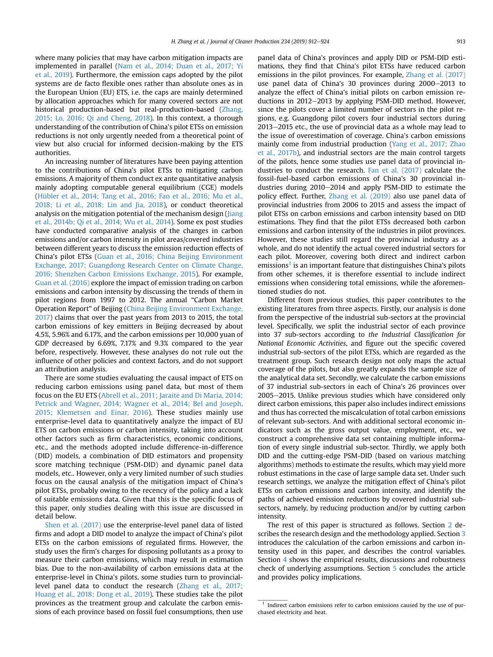where many policies that may have carbon mitigation impacts are implemented in parallel [\(Nam et al., 2014; Duan et al., 2017; Yi](#page-11-0) [et al., 2019](#page-11-0)). Furthermore, the emission caps adopted by the pilot systems are de facto flexible ones rather than absolute ones as in the European Union (EU) ETS, i.e. the caps are mainly determined by allocation approaches which for many covered sectors are not historical production-based but real-production-based [\(Zhang,](#page-12-0) [2015; Lo, 2016; Qi and Cheng, 2018](#page-12-0)). In this context, a thorough understanding of the contribution of China's pilot ETSs on emission reductions is not only urgently needed from a theoretical point of view but also crucial for informed decision-making by the ETS authorities.

An increasing number of literatures have been paying attention to the contributions of China's pilot ETSs to mitigating carbon emissions. A majority of them conduct ex ante quantitative analysis mainly adopting computable general equilibrium (CGE) models ([Hübler et al., 2014; Tang et al., 2016; Fan et al., 2016; Mu et al.,](#page-11-0) [2018; Li et al., 2018; Lin and Jia, 2018](#page-11-0)), or conduct theoretical analysis on the mitigation potential of the mechanism design ([Jiang](#page-11-0) [et al., 2014b; Qi et al., 2014; Wu et al., 2014](#page-11-0)). Some ex post studies have conducted comparative analysis of the changes in carbon emissions and/or carbon intensity in pilot areas/covered industries between different years to discuss the emission reduction effects of China's pilot ETSs [\(Guan et al., 2016; China Beijing Environment](#page-11-0) [Exchange, 2017; Guangdong Research Center on Climate Change,](#page-11-0) [2016; Shenzhen Carbon Emissions Exchange, 2015](#page-11-0)). For example, [Guan et al. \(2016\)](#page-11-0) explore the impact of emission trading on carbon emissions and carbon intensity by discussing the trends of them in pilot regions from 1997 to 2012. The annual "Carbon Market Operation Report" of Beijing [\(China Beijing Environment Exchange,](#page-11-0) [2017](#page-11-0)) claims that over the past years from 2013 to 2015, the total carbon emissions of key emitters in Beijing decreased by about 4.5%, 5.96% and 6.17%, and the carbon emissions per 10,000 yuan of GDP decreased by 6.69%, 7.17% and 9.3% compared to the year before, respectively. However, these analyses do not rule out the influence of other policies and context factors, and do not support an attribution analysis.

There are some studies evaluating the causal impact of ETS on reducing carbon emissions using panel data, but most of them focus on the EU ETS [\(Abrell et al., 2011; Jaraite and Di Maria, 2014;](#page-11-0) [Petrick and Wagner, 2014; Wagner et al., 2014; Bel and Joseph,](#page-11-0) [2015; Klemetsen and Einar, 2016](#page-11-0)). These studies mainly use enterprise-level data to quantitatively analyze the impact of EU ETS on carbon emissions or carbon intensity, taking into account other factors such as firm characteristics, economic conditions, etc., and the methods adopted include difference-in-difference (DID) models, a combination of DID estimators and propensity score matching technique (PSM-DID) and dynamic panel data models, etc.. However, only a very limited number of such studies focus on the causal analysis of the mitigation impact of China's pilot ETSs, probably owing to the recency of the policy and a lack of suitable emissions data. Given that this is the specific focus of this paper, only studies dealing with this issue are discussed in detail below.

[Shen et al. \(2017\)](#page-12-0) use the enterprise-level panel data of listed firms and adopt a DID model to analyze the impact of China's pilot ETSs on the carbon emissions of regulated firms. However, the study uses the firm's charges for disposing pollutants as a proxy to measure their carbon emissions, which may result in estimation bias. Due to the non-availability of carbon emissions data at the enterprise-level in China's pilots, some studies turn to provinciallevel panel data to conduct the research [\(Zhang et al., 2017;](#page-12-0) [Huang et al., 2018; Dong et al., 2019\)](#page-12-0). These studies take the pilot provinces as the treatment group and calculate the carbon emissions of each province based on fossil fuel consumptions, then use panel data of China's provinces and apply DID or PSM-DID estimations, they find that China's pilot ETSs have reduced carbon emissions in the pilot provinces. For example, [Zhang et al. \(2017\)](#page-12-0) use panel data of China's 30 provinces during 2000-2013 to analyze the effect of China's initial pilots on carbon emission reductions in  $2012-2013$  by applying PSM-DID method. However, since the pilots cover a limited number of sectors in the pilot regions, e.g. Guangdong pilot covers four industrial sectors during  $2013-2015$  etc., the use of provincial data as a whole may lead to the issue of overestimation of coverage. China's carbon emissions mainly come from industrial production ([Yang et al., 2017; Zhao](#page-12-0) [et al., 2017b](#page-12-0)), and industrial sectors are the main control targets of the pilots, hence some studies use panel data of provincial industries to conduct the research. [Fan et al. \(2017\)](#page-11-0) calculate the fossil-fuel-based carbon emissions of China's 30 provincial industries during  $2010-2014$  and apply PSM-DID to estimate the policy effect. Further, [Zhang et al. \(2019\)](#page-12-0) also use panel data of provincial industries from 2006 to 2015 and assess the impact of pilot ETSs on carbon emissions and carbon intensity based on DID estimations. They find that the pilot ETSs decreased both carbon emissions and carbon intensity of the industries in pilot provinces. However, these studies still regard the provincial industry as a whole, and do not identify the actual covered industrial sectors for each pilot. Moreover, covering both direct and indirect carbon  $emissions<sup>1</sup>$  is an important feature that distinguishes China's pilots from other schemes, it is therefore essential to include indirect emissions when considering total emissions, while the aforementioned studies do not.

Different from previous studies, this paper contributes to the existing literatures from three aspects. Firstly, our analysis is done from the perspective of the industrial sub-sectors at the provincial level. Specifically, we split the industrial sector of each province into 37 sub-sectors according to the Industrial Classification for National Economic Activities, and figure out the specific covered industrial sub-sectors of the pilot ETSs, which are regarded as the treatment group. Such research design not only maps the actual coverage of the pilots, but also greatly expands the sample size of the analytical data set. Secondly, we calculate the carbon emissions of 37 industrial sub-sectors in each of China's 26 provinces over 2005-2015. Unlike previous studies which have considered only direct carbon emissions, this paper also includes indirect emissions and thus has corrected the miscalculation of total carbon emissions of relevant sub-sectors. And with additional sectoral economic indicators such as the gross output value, employment, etc., we construct a comprehensive data set containing multiple information of every single industrial sub-sector. Thirdly, we apply both DID and the cutting-edge PSM-DID (based on various matching algorithms) methods to estimate the results, which may yield more robust estimations in the case of large sample data set. Under such research settings, we analyze the mitigation effect of China's pilot ETSs on carbon emissions and carbon intensity, and identify the paths of achieved emission reductions by covered industrial subsectors, namely, by reducing production and/or by cutting carbon intensity.

The rest of this paper is structured as follows. Section [2](#page-2-0) describes the research design and the methodology applied. Section [3](#page-2-0) introduces the calculation of the carbon emissions and carbon intensity used in this paper, and describes the control variables. Section [4](#page-3-0) shows the empirical results, discussions and robustness check of underlying assumptions. Section [5](#page-8-0) concludes the article and provides policy implications.

 $1$  Indirect carbon emissions refer to carbon emissions caused by the use of purchased electricity and heat.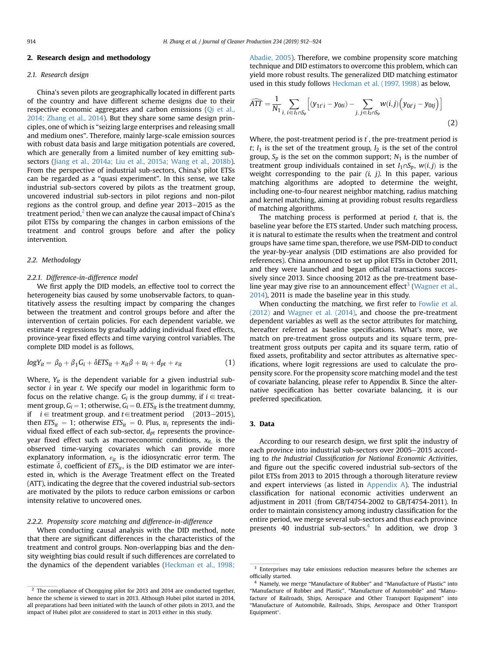### <span id="page-2-0"></span>2. Research design and methodology

## 2.1. Research design

China's seven pilots are geographically located in different parts of the country and have different scheme designs due to their respective economic aggregates and carbon emissions [\(Qi et al.,](#page-11-0) [2014; Zhang et al., 2014\)](#page-11-0). But they share some same design principles, one of which is "seizing large enterprises and releasing small and medium ones". Therefore, mainly large-scale emission sources with robust data basis and large mitigation potentials are covered, which are generally from a limited number of key emitting subsectors [\(Jiang et al., 2014a; Liu et al., 2015a; Wang et al., 2018b\)](#page-11-0). From the perspective of industrial sub-sectors, China's pilot ETSs can be regarded as a "quasi experiment". In this sense, we take industrial sub-sectors covered by pilots as the treatment group, uncovered industrial sub-sectors in pilot regions and non-pilot regions as the control group, and define year 2013-2015 as the treatment period, $<sup>2</sup>$  then we can analyze the causal impact of China's</sup> pilot ETSs by comparing the changes in carbon emissions of the treatment and control groups before and after the policy intervention.

## 2.2. Methodology

#### 2.2.1. Difference-in-difference model

We first apply the DID models, an effective tool to correct the heterogeneity bias caused by some unobservable factors, to quantitatively assess the resulting impact by comparing the changes between the treatment and control groups before and after the intervention of certain policies. For each dependent variable, we estimate 4 regressions by gradually adding individual fixed effects, province-year fixed effects and time varying control variables. The complete DID model is as follows,

$$
logY_{it} = \beta_0 + \beta_1 G_i + \delta ETS_{it} + x_{it}\beta + u_i + d_{pt} + \varepsilon_{it}
$$
 (1)

Where,  $Y_{it}$  is the dependent variable for a given industrial subsector  $i$  in year  $t$ . We specify our model in logarithmic form to focus on the relative change.  $G_i$  is the group dummy, if  $i \in$  treatment group,  $G_i = 1$ ; otherwise,  $G_i = 0$ . ETS<sub>it</sub> is the treatment dummy, if  $i \in$  treatment group, and t  $\in$  treatment period (2013–2015), then  $ETS_{it} = 1$ ; otherwise  $ETS_{it} = 0$ . Plus,  $u_i$  represents the individual fixed effect of each sub-sector,  $d_{pt}$  represents the provinceyear fixed effect such as macroeconomic conditions,  $x_{it}$  is the observed time-varying covariates which can provide more explanatory information,  $\varepsilon_{it}$  is the idiosyncratic error term. The estimate  $\delta$ , coefficient of ETS<sub>it</sub>, is the DID estimator we are interested in, which is the Average Treatment effect on the Treated (ATT), indicating the degree that the covered industrial sub-sectors are motivated by the pilots to reduce carbon emissions or carbon intensity relative to uncovered ones.

# 2.2.2. Propensity score matching and difference-in-difference

When conducting causal analysis with the DID method, note that there are significant differences in the characteristics of the treatment and control groups. Non-overlapping bias and the density weighting bias could result if such differences are correlated to the dynamics of the dependent variables [\(Heckman et al., 1998;](#page-11-0)

[Abadie, 2005\)](#page-11-0). Therefore, we combine propensity score matching technique and DID estimators to overcome this problem, which can yield more robust results. The generalized DID matching estimator used in this study follows [Heckman et al. \(1997, 1998\)](#page-11-0) as below,

$$
\widehat{ATT} = \frac{1}{N_1} \sum_{i, i \in I_1 \cap S_p} \left[ (y_{1t'i} - y_{0ti}) - \sum_{j, j \in I_2 \cap S_p} w(i,j) \left( y_{0t'j} - y_{0tj} \right) \right]
$$
(2)

Where, the post-treatment period is  $t'$ , the pre-treatment period is  $t$ ;  $I_1$  is the set of the treatment group,  $I_2$  is the set of the control group,  $S_p$  is the set on the common support;  $N_1$  is the number of treatment group individuals contained in set  $I_1 \cap S_p$ ,  $w(i, j)$  is the weight corresponding to the pair  $(i, j)$ . In this paper, various matching algorithms are adopted to determine the weight, including one-to-four nearest neighbor matching, radius matching and kernel matching, aiming at providing robust results regardless of matching algorithms.

The matching process is performed at period  $t$ , that is, the baseline year before the ETS started. Under such matching process, it is natural to estimate the results when the treatment and control groups have same time span, therefore, we use PSM-DID to conduct the year-by-year analysis (DID estimations are also provided for references). China announced to set up pilot ETSs in October 2011, and they were launched and began official transactions successively since 2013. Since choosing 2012 as the pre-treatment base-line year may give rise to an announcement effect<sup>3</sup> ([Wagner et al.,](#page-12-0) [2014\)](#page-12-0), 2011 is made the baseline year in this study.

When conducting the matching, we first refer to [Fowlie et al.](#page-11-0) [\(2012\)](#page-11-0) and [Wagner et al. \(2014\)](#page-12-0), and choose the pre-treatment dependent variables as well as the sector attributes for matching, hereafter referred as baseline specifications. What's more, we match on pre-treatment gross outputs and its square term, pretreatment gross outputs per capita and its square term, ratio of fixed assets, profitability and sector attributes as alternative specifications, where logit regressions are used to calculate the propensity score. For the propensity score matching model and the test of covariate balancing, please refer to Appendix B. Since the alternative specification has better covariate balancing, it is our preferred specification.

# 3. Data

According to our research design, we first split the industry of each province into industrial sub-sectors over 2005-2015 according to the Industrial Classification for National Economic Activities, and figure out the specific covered industrial sub-sectors of the pilot ETSs from 2013 to 2015 through a thorough literature review and expert interviews (as listed in [Appendix A\)](#page-9-0). The industrial classification for national economic activities underwent an adjustment in 2011 (from GB/T4754-2002 to GB/T4754-2011). In order to maintain consistency among industry classification for the entire period, we merge several sub-sectors and thus each province presents 40 industrial sub-sectors. $4$  In addition, we drop 3

 $\frac{2}{3}$  The compliance of Chongqing pilot for 2013 and 2014 are conducted together, hence the scheme is viewed to start in 2013. Although Hubei pilot started in 2014, all preparations had been initiated with the launch of other pilots in 2013, and the impact of Hubei pilot are considered to start in 2013 either in this study.

<sup>&</sup>lt;sup>3</sup> Enterprises may take emissions reduction measures before the schemes are officially started.

<sup>&</sup>lt;sup>4</sup> Namely, we merge "Manufacture of Rubber" and "Manufacture of Plastic" into "Manufacture of Rubber and Plastic", "Manufacture of Automobile" and "Manufacture of Railroads, Ships, Aerospace and Other Transport Equipment" into "Manufacture of Automobile, Railroads, Ships, Aerospace and Other Transport Equipment".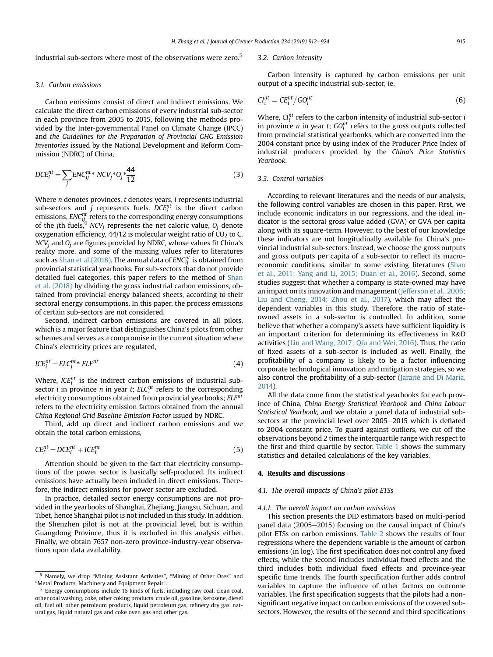<span id="page-3-0"></span>industrial sub-sectors where most of the observations were zero.<sup>5</sup>

#### 3.1. Carbon emissions

Carbon emissions consist of direct and indirect emissions. We calculate the direct carbon emissions of every industrial sub-sector in each province from 2005 to 2015, following the methods provided by the Inter-governmental Panel on Climate Change (IPCC) and the Guidelines for the Preparation of Provincial GHG Emission Inventories issued by the National Development and Reform Commission (NDRC) of China,

$$
DCE_i^{nt} = \sum_j ENC_{ij}^{nt} * NCV_j * O_j * \frac{44}{12}
$$
 (3)

Where *n* denotes provinces, *t* denotes years, *i* represents industrial sub-sectors and *j* represents fuels. DC $E_i^{nt}$  is the direct carbon emissions, ENC $_{ij_{c}}^{nt}$  refers to the corresponding energy consumptions of the jth fuels,  $6\overline{C}$  NCV<sub>j</sub> represents the net caloric value,  $O_j$  denote oxygenation efficiency, 44/12 is molecular weight ratio of  $CO<sub>2</sub>$  to C.  $NCV_i$  and  $O_i$  are figures provided by NDRC, whose values fit China's reality more, and some of the missing values refer to literatures such as [Shan et al.\(2018\).](#page-12-0) The annual data of  $\mathit{ENC}_{ij}^{nt}$  is obtained from provincial statistical yearbooks. For sub-sectors that do not provide detailed fuel categories, this paper refers to the method of [Shan](#page-12-0) [et al. \(2018\)](#page-12-0) by dividing the gross industrial carbon emissions, obtained from provincial energy balanced sheets, according to their sectoral energy consumptions. In this paper, the process emissions of certain sub-sectors are not considered.

Second, indirect carbon emissions are covered in all pilots, which is a major feature that distinguishes China's pilots from other schemes and serves as a compromise in the current situation where China's electricity prices are regulated,

$$
ICE_i^{nt} = ELC_i^{nt} * ELF^{nt}
$$
\n<sup>(4)</sup>

Where,  $ICE_i^{nt}$  is the indirect carbon emissions of industrial subsector *i* in province *n* in year *t*;  $ELC<sub>i</sub><sup>nt</sup>$  refers to the corresponding electricity consumptions obtained from provincial yearbooks; ELF<sup>nt</sup> refers to the electricity emission factors obtained from the annual China Regional Grid Baseline Emission Factor issued by NDRC.

Third, add up direct and indirect carbon emissions and we obtain the total carbon emissions,

$$
CE_i^{nt} = DCE_i^{nt} + ICE_i^{nt}
$$
 (5)

Attention should be given to the fact that electricity consumptions of the power sector is basically self-produced. Its indirect emissions have actually been included in direct emissions. Therefore, the indirect emissions for power sector are excluded.

In practice, detailed sector energy consumptions are not provided in the yearbooks of Shanghai, Zhejiang, Jiangsu, Sichuan, and Tibet, hence Shanghai pilot is not included in this study. In addition, the Shenzhen pilot is not at the provincial level, but is within Guangdong Province, thus it is excluded in this analysis either. Finally, we obtain 7657 non-zero province-industry-year observations upon data availability.

#### 3.2. Carbon intensity

Carbon intensity is captured by carbon emissions per unit output of a specific industrial sub-sector, ie,

$$
Cl_i^{nt} = CE_i^{nt}/GO_i^{nt}
$$
 (6)

Where,  $Cl_i^{nt}$  refers to the carbon intensity of industrial sub-sector i in province *n* in year *t*;  $GO_i^{nt}$  refers to the gross outputs collected from provincial statistical yearbooks, which are converted into the 2004 constant price by using index of the Producer Price Index of industrial producers provided by the China's Price Statistics Yearbook.

## 3.3. Control variables

According to relevant literatures and the needs of our analysis, the following control variables are chosen in this paper. First, we include economic indicators in our regressions, and the ideal indicator is the sectoral gross value added (GVA) or GVA per capita along with its square-term. However, to the best of our knowledge these indicators are not longitudinally available for China's provincial industrial sub-sectors. Instead, we choose the gross outputs and gross outputs per capita of a sub-sector to reflect its macroeconomic conditions, similar to some existing literatures [\(Shao](#page-12-0) [et al., 2011; Yang and Li, 2015; Duan et al., 2016\)](#page-12-0). Second, some studies suggest that whether a company is state-owned may have an impact on its innovation and management ([Jefferson et al., 2006;](#page-11-0) [Liu and Cheng, 2014; Zhou et al., 2017](#page-11-0)), which may affect the dependent variables in this study. Therefore, the ratio of stateowned assets in a sub-sector is controlled. In addition, some believe that whether a company's assets have sufficient liquidity is an important criterion for determining its effectiveness in R&D activities ([Liu and Wang, 2017; Qiu and Wei, 2016](#page-11-0)). Thus, the ratio of fixed assets of a sub-sector is included as well. Finally, the profitability of a company is likely to be a factor influencing corporate technological innovation and mitigation strategies, so we also control the profitability of a sub-sector ([Jaraite and Di Maria,](#page-11-0) [2014\)](#page-11-0).

All the data come from the statistical yearbooks for each province of China, China Energy Statistical Yearbook and China Labour Statistical Yearbook, and we obtain a panel data of industrial subsectors at the provincial level over 2005-2015 which is deflated to 2004 constant price. To guard against outliers, we cut off the observations beyond 2 times the interquartile range with respect to the first and third quartile by sector. [Table 1](#page-4-0) shows the summary statistics and detailed calculations of the key variables.

#### 4. Results and discussions

#### 4.1. The overall impacts of China's pilot ETSs

#### 4.1.1. The overall impact on carbon emissions

This section presents the DID estimators based on multi-period panel data (2005–2015) focusing on the causal impact of China's pilot ETSs on carbon emissions. [Table 2](#page-4-0) shows the results of four regressions where the dependent variable is the amount of carbon emissions (in log). The first specification does not control any fixed effects, while the second includes individual fixed effects and the third includes both individual fixed effects and province-year specific time trends. The fourth specification further adds control variables to capture the influence of other factors on outcome variables. The first specification suggests that the pilots had a nonsignificant negative impact on carbon emissions of the covered subsectors. However, the results of the second and third specifications

<sup>&</sup>lt;sup>5</sup> Namely, we drop "Mining Assistant Activities", "Mining of Other Ores" and "Metal Products, Machinery and Equipment Repair".

Energy consumptions include 16 kinds of fuels, including raw coal, clean coal, other coal washing, coke, other coking products, crude oil, gasoline, kerosene, diesel oil, fuel oil, other petroleum products, liquid petroleum gas, refinery dry gas, natural gas, liquid natural gas and coke oven gas and other gas.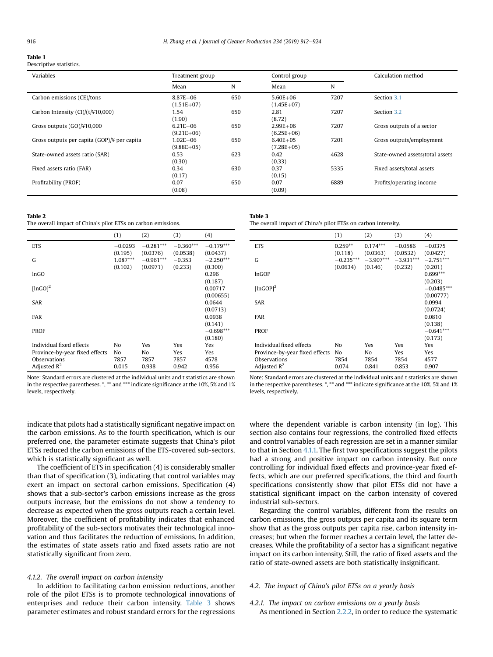#### <span id="page-4-0"></span>Table 1

Descriptive statistics.

| Variables                                     | Treatment group                |     | Control group                |      | Calculation method              |
|-----------------------------------------------|--------------------------------|-----|------------------------------|------|---------------------------------|
|                                               | Mean                           | N   | Mean                         | N    |                                 |
| Carbon emissions (CE)/tons                    | $8.87E + 06$<br>$(1.51E+07)$   | 650 | $5.60E + 06$<br>$(1.45E+07)$ | 7207 | Section 3.1                     |
| Carbon Intensity $(Cl)/(t/\frac{1}{4}10,000)$ | 1.54<br>(1.90)                 | 650 | 2.81<br>(8.72)               | 7207 | Section 3.2                     |
| Gross outputs $(GO)/410,000$                  | $6.21E + 06$<br>$(9.21E + 06)$ | 650 | $2.99E + 06$<br>$(6.25E+06)$ | 7207 | Gross outputs of a sector       |
| Gross outputs per capita (GOP)/¥ per capita   | $1.02E + 06$<br>$(9.88E + 05)$ | 650 | $6.40E + 05$<br>$(7.28E+05)$ | 7201 | Gross outputs/employment        |
| State-owned assets ratio (SAR)                | 0.53<br>(0.30)                 | 623 | 0.42<br>(0.33)               | 4628 | State-owned assets/total assets |
| Fixed assets ratio (FAR)                      | 0.34<br>(0.17)                 | 630 | 0.37<br>(0.15)               | 5335 | Fixed assets/total assets       |
| Profitability (PROF)                          | 0.07<br>(0.08)                 | 650 | 0.07<br>(0.09)               | 6889 | Profits/operating income        |

#### Table 2

The overall impact of China's pilot ETSs on carbon emissions.

|                                | (1)                              | (2)                                 | (3)                             | (4)                                |
|--------------------------------|----------------------------------|-------------------------------------|---------------------------------|------------------------------------|
| <b>ETS</b>                     | $-0.0293$                        | $-0.281***$                         | $-0.360***$                     | $-0.179***$                        |
| G                              | (0.195)<br>$1.087***$<br>(0.102) | (0.0376)<br>$-0.961***$<br>(0.0971) | (0.0538)<br>$-0.353$<br>(0.233) | (0.0437)<br>$-2.250***$<br>(0.300) |
| lnGO                           |                                  |                                     |                                 | 0.296                              |
| [lnGO] <sup>2</sup>            |                                  |                                     |                                 | (0.187)<br>0.00717                 |
| <b>SAR</b>                     |                                  |                                     |                                 | (0.00655)<br>0.0644                |
| <b>FAR</b>                     |                                  |                                     |                                 | (0.0713)<br>0.0938                 |
| <b>PROF</b>                    |                                  |                                     |                                 | (0.141)<br>$-0.698***$<br>(0.180)  |
| Individual fixed effects       | No                               | Yes                                 | Yes                             | Yes                                |
| Province-by-year fixed effects | No                               | No                                  | Yes                             | Yes                                |
| Observations                   | 7857                             | 7857                                | 7857                            | 4578                               |
| Adjusted $R^2$                 | 0.015                            | 0.938                               | 0.942                           | 0.956                              |

Note: Standard errors are clustered at the individual units and t statistics are shown in the respective parentheses. \*, \*\* and \*\*\* indicate significance at the 10%, 5% and 1% levels, respectively.

| Table 3                                                       |
|---------------------------------------------------------------|
| The overall impact of China's pilot ETSs on carbon intensity. |

|                                                                                              | (1)                       | (2)                        | (3)                         | (4)                               |
|----------------------------------------------------------------------------------------------|---------------------------|----------------------------|-----------------------------|-----------------------------------|
| <b>ETS</b>                                                                                   | $0.259**$                 | $0.174***$                 | $-0.0586$                   | $-0.0375$                         |
| G                                                                                            | (0.118)<br>$-0.235***$    | (0.0363)<br>$-3.907***$    | (0.0532)<br>$-3.931***$     | (0.0427)<br>$-2.751***$           |
| <b>InGOP</b>                                                                                 | (0.0634)                  | (0.146)                    | (0.232)                     | (0.201)<br>$0.699***$             |
| $[lnGOP]$ <sup>2</sup>                                                                       |                           |                            |                             | (0.203)<br>$-0.0485***$           |
| SAR                                                                                          |                           |                            |                             | (0.00777)<br>0.0994               |
| <b>FAR</b>                                                                                   |                           |                            |                             | (0.0724)<br>0.0810                |
| PROF                                                                                         |                           |                            |                             | (0.138)<br>$-0.641***$<br>(0.173) |
| Individual fixed effects<br>Province-by-year fixed effects<br>Observations<br>Adjusted $R^2$ | No<br>No<br>7854<br>0.074 | Yes<br>No<br>7854<br>0.841 | Yes<br>Yes<br>7854<br>0.853 | Yes<br>Yes<br>4577<br>0.907       |

Note: Standard errors are clustered at the individual units and t statistics are shown in the respective parentheses. \*, \*\* and \*\*\* indicate significance at the 10%, 5% and 1% levels, respectively.

indicate that pilots had a statistically significant negative impact on the carbon emissions. As to the fourth specification, which is our preferred one, the parameter estimate suggests that China's pilot ETSs reduced the carbon emissions of the ETS-covered sub-sectors, which is statistically significant as well.

The coefficient of ETS in specification (4) is considerably smaller than that of specification (3), indicating that control variables may exert an impact on sectoral carbon emissions. Specification (4) shows that a sub-sector's carbon emissions increase as the gross outputs increase, but the emissions do not show a tendency to decrease as expected when the gross outputs reach a certain level. Moreover, the coefficient of profitability indicates that enhanced profitability of the sub-sectors motivates their technological innovation and thus facilitates the reduction of emissions. In addition, the estimates of state assets ratio and fixed assets ratio are not statistically significant from zero.

## 4.1.2. The overall impact on carbon intensity

In addition to facilitating carbon emission reductions, another role of the pilot ETSs is to promote technological innovations of enterprises and reduce their carbon intensity. Table 3 shows parameter estimates and robust standard errors for the regressions where the dependent variable is carbon intensity (in log). This section also contains four regressions, the controlled fixed effects and control variables of each regression are set in a manner similar to that in Section [4.1.1.](#page-3-0) The first two specifications suggest the pilots had a strong and positive impact on carbon intensity. But once controlling for individual fixed effects and province-year fixed effects, which are our preferred specifications, the third and fourth specifications consistently show that pilot ETSs did not have a statistical significant impact on the carbon intensity of covered industrial sub-sectors.

Regarding the control variables, different from the results on carbon emissions, the gross outputs per capita and its square term show that as the gross outputs per capita rise, carbon intensity increases; but when the former reaches a certain level, the latter decreases. While the profitability of a sector has a significant negative impact on its carbon intensity. Still, the ratio of fixed assets and the ratio of state-owned assets are both statistically insignificant.

# 4.2. The impact of China's pilot ETSs on a yearly basis

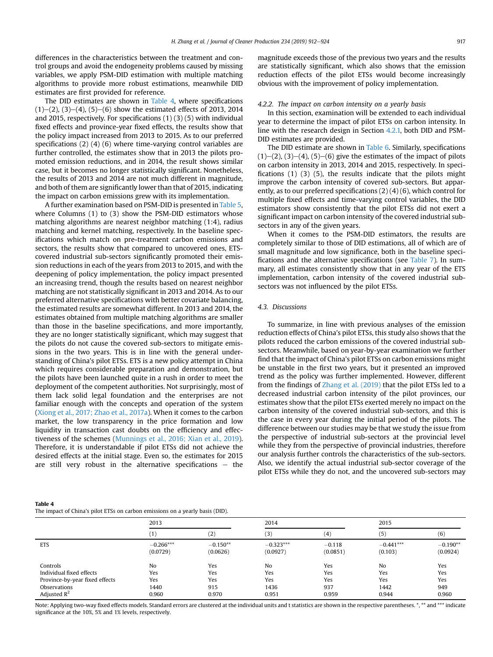differences in the characteristics between the treatment and control groups and avoid the endogeneity problems caused by missing variables, we apply PSM-DID estimation with multiple matching algorithms to provide more robust estimations, meanwhile DID estimates are first provided for reference.

The DID estimates are shown in Table 4, where specifications  $(1)$ – $(2)$ ,  $(3)$ – $(4)$ ,  $(5)$ – $(6)$  show the estimated effects of 2013, 2014 and 2015, respectively. For specifications (1) (3) (5) with individual fixed effects and province-year fixed effects, the results show that the policy impact increased from 2013 to 2015. As to our preferred specifications (2) (4) (6) where time-varying control variables are further controlled, the estimates show that in 2013 the pilots promoted emission reductions, and in 2014, the result shows similar case, but it becomes no longer statistically significant. Nonetheless, the results of 2013 and 2014 are not much different in magnitude, and both of them are significantly lower than that of 2015, indicating the impact on carbon emissions grew with its implementation.

A further examination based on PSM-DID is presented in [Table 5,](#page-6-0) where Columns (1) to (3) show the PSM-DID estimators whose matching algorithms are nearest neighbor matching (1:4), radius matching and kernel matching, respectively. In the baseline specifications which match on pre-treatment carbon emissions and sectors, the results show that compared to uncovered ones, ETScovered industrial sub-sectors significantly promoted their emission reductions in each of the years from 2013 to 2015, and with the deepening of policy implementation, the policy impact presented an increasing trend, though the results based on nearest neighbor matching are not statistically significant in 2013 and 2014. As to our preferred alternative specifications with better covariate balancing, the estimated results are somewhat different. In 2013 and 2014, the estimates obtained from multiple matching algorithms are smaller than those in the baseline specifications, and more importantly, they are no longer statistically significant, which may suggest that the pilots do not cause the covered sub-sectors to mitigate emissions in the two years. This is in line with the general understanding of China's pilot ETSs. ETS is a new policy attempt in China which requires considerable preparation and demonstration, but the pilots have been launched quite in a rush in order to meet the deployment of the competent authorities. Not surprisingly, most of them lack solid legal foundation and the enterprises are not familiar enough with the concepts and operation of the system ([Xiong et al., 2017; Zhao et al., 2017a\)](#page-12-0). When it comes to the carbon market, the low transparency in the price formation and low liquidity in transaction cast doubts on the efficiency and effectiveness of the schemes [\(Munnings et al., 2016; Xian et al., 2019\)](#page-11-0). Therefore, it is understandable if pilot ETSs did not achieve the desired effects at the initial stage. Even so, the estimates for 2015 are still very robust in the alternative specifications  $-$  the

magnitude exceeds those of the previous two years and the results are statistically significant, which also shows that the emission reduction effects of the pilot ETSs would become increasingly obvious with the improvement of policy implementation.

#### 4.2.2. The impact on carbon intensity on a yearly basis

In this section, examination will be extended to each individual year to determine the impact of pilot ETSs on carbon intensity. In line with the research design in Section [4.2.1,](#page-4-0) both DID and PSM-DID estimates are provided.

The DID estimate are shown in [Table 6.](#page-6-0) Similarly, specifications  $(1)$ – $(2)$ ,  $(3)$ – $(4)$ ,  $(5)$ – $(6)$  give the estimates of the impact of pilots on carbon intensity in 2013, 2014 and 2015, respectively. In specifications (1) (3) (5), the results indicate that the pilots might improve the carbon intensity of covered sub-sectors. But apparently, as to our preferred specifications (2) (4) (6), which control for multiple fixed effects and time-varying control variables, the DID estimators show consistently that the pilot ETSs did not exert a significant impact on carbon intensity of the covered industrial subsectors in any of the given years.

When it comes to the PSM-DID estimators, the results are completely similar to those of DID estimations, all of which are of small magnitude and low significance, both in the baseline specifications and the alternative specifications (see [Table 7](#page-6-0)). In summary, all estimates consistently show that in any year of the ETS implementation, carbon intensity of the covered industrial subsectors was not influenced by the pilot ETSs.

# 4.3. Discussions

To summarize, in line with previous analyses of the emission reduction effects of China's pilot ETSs, this study also shows that the pilots reduced the carbon emissions of the covered industrial subsectors. Meanwhile, based on year-by-year examination we further find that the impact of China's pilot ETSs on carbon emissions might be unstable in the first two years, but it presented an improved trend as the policy was further implemented. However, different from the findings of [Zhang et al. \(2019\)](#page-12-0) that the pilot ETSs led to a decreased industrial carbon intensity of the pilot provinces, our estimates show that the pilot ETSs exerted merely no impact on the carbon intensity of the covered industrial sub-sectors, and this is the case in every year during the initial period of the pilots. The difference between our studies may be that we study the issue from the perspective of industrial sub-sectors at the provincial level while they from the perspective of provincial industries, therefore our analysis further controls the characteristics of the sub-sectors. Also, we identify the actual industrial sub-sector coverage of the pilot ETSs while they do not, and the uncovered sub-sectors may

| Table 4                                                                       |
|-------------------------------------------------------------------------------|
| The impact of China's pilot ETSs on carbon emissions on a yearly basis (DID). |

|                                | 2013        |            | 2014        |          | 2015        |            |
|--------------------------------|-------------|------------|-------------|----------|-------------|------------|
|                                | $^{(1)}$    | (2)        | (3)         | (4)      | (5)         | (6)        |
| <b>ETS</b>                     | $-0.266***$ | $-0.150**$ | $-0.323***$ | $-0.118$ | $-0.441***$ | $-0.190**$ |
|                                | (0.0729)    | (0.0626)   | (0.0927)    | (0.0851) | (0.103)     | (0.0924)   |
| Controls                       | No          | Yes        | No          | Yes      | No          | Yes        |
| Individual fixed effects       | Yes         | Yes        | Yes         | Yes      | Yes         | Yes        |
| Province-by-year fixed effects | Yes         | Yes        | Yes         | Yes      | Yes         | Yes        |
| Observations                   | 1440        | 915        | 1436        | 937      | 1442        | 949        |
| Adjusted $R^2$                 | 0.960       | 0.970      | 0.951       | 0.959    | 0.944       | 0.960      |

Note: Applying two-way fixed effects models. Standard errors are clustered at the individual units and t statistics are shown in the respective parentheses. \*, \*\* and \*\*\* indicate significance at the 10%, 5% and 1% levels, respectively.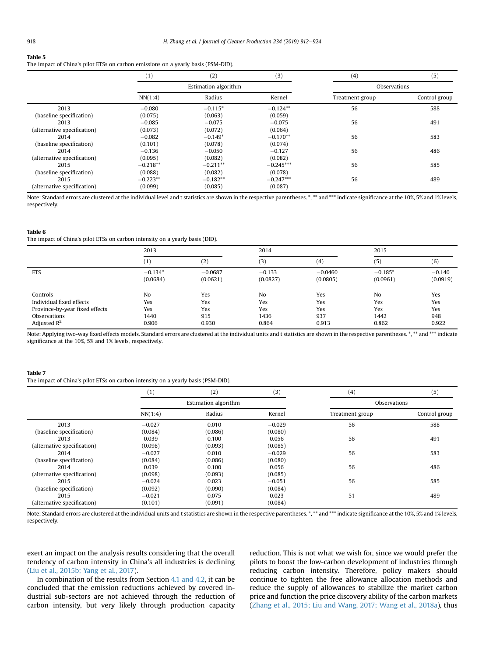#### <span id="page-6-0"></span>Table 5

The impact of China's pilot ETSs on carbon emissions on a yearly basis (PSM-DID).

|                             | (1)        | (2)                  | (3)         | (4)             | (5)           |
|-----------------------------|------------|----------------------|-------------|-----------------|---------------|
|                             |            | Estimation algorithm |             | Observations    |               |
|                             | NN(1:4)    | Radius               | Kernel      | Treatment group | Control group |
| 2013                        | $-0.080$   | $-0.115*$            | $-0.124**$  | 56              | 588           |
| (baseline specification)    | (0.075)    | (0.063)              | (0.059)     |                 |               |
| 2013                        | $-0.085$   | $-0.075$             | $-0.075$    | 56              | 491           |
| (alternative specification) | (0.073)    | (0.072)              | (0.064)     |                 |               |
| 2014                        | $-0.082$   | $-0.149*$            | $-0.170**$  | 56              | 583           |
| (baseline specification)    | (0.101)    | (0.078)              | (0.074)     |                 |               |
| 2014                        | $-0.136$   | $-0.050$             | $-0.127$    | 56              | 486           |
| (alternative specification) | (0.095)    | (0.082)              | (0.082)     |                 |               |
| 2015                        | $-0.218**$ | $-0.211**$           | $-0.245***$ | 56              | 585           |
| (baseline specification)    | (0.088)    | (0.082)              | (0.078)     |                 |               |
| 2015                        | $-0.223**$ | $-0.182**$           | $-0.247***$ | 56              | 489           |
| (alternative specification) | (0.099)    | (0.085)              | (0.087)     |                 |               |

Note: Standard errors are clustered at the individual level and t statistics are shown in the respective parentheses. \*, \*\* and \*\*\* indicate significance at the 10%, 5% and 1% levels, respectively.

#### Table 6

The impact of China's pilot ETSs on carbon intensity on a yearly basis (DID).

|                                | 2013           |           | 2014     |           | 2015           |          |
|--------------------------------|----------------|-----------|----------|-----------|----------------|----------|
|                                | (1)            | (2)       | (3)      | (4)       | (5)            | (6)      |
| <b>ETS</b>                     | $-0.134*$      | $-0.0687$ | $-0.133$ | $-0.0460$ | $-0.185*$      | $-0.140$ |
|                                | (0.0684)       | (0.0621)  | (0.0827) | (0.0805)  | (0.0961)       | (0.0919) |
| Controls                       | N <sub>o</sub> | Yes       | No       | Yes       | N <sub>o</sub> | Yes      |
| Individual fixed effects       | Yes            | Yes       | Yes      | Yes       | Yes            | Yes      |
| Province-by-year fixed effects | Yes            | Yes       | Yes      | Yes       | Yes            | Yes      |
| Observations                   | 1440           | 915       | 1436     | 937       | 1442           | 948      |
| Adjusted $\mathbb{R}^2$        | 0.906          | 0.930     | 0.864    | 0.913     | 0.862          | 0.922    |

Note: Applying two-way fixed effects models. Standard errors are clustered at the individual units and t statistics are shown in the respective parentheses. \*, \*\* and \*\*\* indicate significance at the 10%, 5% and 1% levels, respectively.

#### Table 7

The impact of China's pilot ETSs on carbon intensity on a yearly basis (PSM-DID).

|                             | (1)      | (2)                  | (3)      | (4)             | (5)           |
|-----------------------------|----------|----------------------|----------|-----------------|---------------|
|                             |          | Estimation algorithm |          | Observations    |               |
|                             | NN(1:4)  | Radius               | Kernel   | Treatment group | Control group |
| 2013                        | $-0.027$ | 0.010                | $-0.029$ | 56              | 588           |
| (baseline specification)    | (0.084)  | (0.086)              | (0.080)  |                 |               |
| 2013                        | 0.039    | 0.100                | 0.056    | 56              | 491           |
| (alternative specification) | (0.098)  | (0.093)              | (0.085)  |                 |               |
| 2014                        | $-0.027$ | 0.010                | $-0.029$ | 56              | 583           |
| (baseline specification)    | (0.084)  | (0.086)              | (0.080)  |                 |               |
| 2014                        | 0.039    | 0.100                | 0.056    | 56              | 486           |
| (alternative specification) | (0.098)  | (0.093)              | (0.085)  |                 |               |
| 2015                        | $-0.024$ | 0.023                | $-0.051$ | 56              | 585           |
| (baseline specification)    | (0.092)  | (0.090)              | (0.084)  |                 |               |
| 2015                        | $-0.021$ | 0.075                | 0.023    | 51              | 489           |
| (alternative specification) | (0.101)  | (0.091)              | (0.084)  |                 |               |

Note: Standard errors are clustered at the individual units and t statistics are shown in the respective parentheses. \*, \*\* and \*\*\* indicate significance at the 10%, 5% and 1% levels, respectively.

exert an impact on the analysis results considering that the overall tendency of carbon intensity in China's all industries is declining ([Liu et al., 2015b; Yang et al., 2017\)](#page-11-0).

In combination of the results from Section [4.1 and 4.2,](#page-3-0) it can be concluded that the emission reductions achieved by covered industrial sub-sectors are not achieved through the reduction of carbon intensity, but very likely through production capacity reduction. This is not what we wish for, since we would prefer the pilots to boost the low-carbon development of industries through reducing carbon intensity. Therefore, policy makers should continue to tighten the free allowance allocation methods and reduce the supply of allowances to stabilize the market carbon price and function the price discovery ability of the carbon markets ([Zhang et al., 2015; Liu and Wang, 2017; Wang et al., 2018a\)](#page-12-0), thus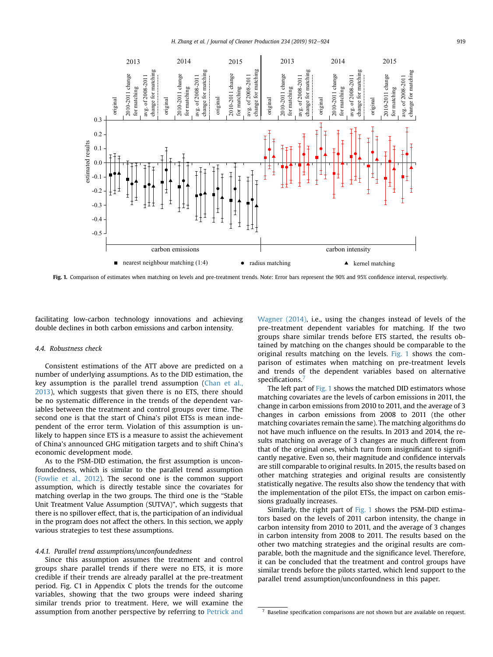

Fig. 1. Comparison of estimates when matching on levels and pre-treatment trends. Note: Error bars represent the 90% and 95% confidence interval, respectively.

facilitating low-carbon technology innovations and achieving double declines in both carbon emissions and carbon intensity.

### 4.4. Robustness check

Consistent estimations of the ATT above are predicted on a number of underlying assumptions. As to the DID estimation, the key assumption is the parallel trend assumption [\(Chan et al.,](#page-11-0) [2013](#page-11-0)), which suggests that given there is no ETS, there should be no systematic difference in the trends of the dependent variables between the treatment and control groups over time. The second one is that the start of China's pilot ETSs is mean independent of the error term. Violation of this assumption is unlikely to happen since ETS is a measure to assist the achievement of China's announced GHG mitigation targets and to shift China's economic development mode.

As to the PSM-DID estimation, the first assumption is unconfoundedness, which is similar to the parallel trend assumption ([Fowlie et al., 2012](#page-11-0)). The second one is the common support assumption, which is directly testable since the covariates for matching overlap in the two groups. The third one is the "Stable Unit Treatment Value Assumption (SUTVA)", which suggests that there is no spillover effect, that is, the participation of an individual in the program does not affect the others. In this section, we apply various strategies to test these assumptions.

#### 4.4.1. Parallel trend assumptions/unconfoundedness

Since this assumption assumes the treatment and control groups share parallel trends if there were no ETS, it is more credible if their trends are already parallel at the pre-treatment period. Fig. C1 in Appendix C plots the trends for the outcome variables, showing that the two groups were indeed sharing similar trends prior to treatment. Here, we will examine the assumption from another perspective by referring to [Petrick and](#page-11-0) [Wagner \(2014\)](#page-11-0), i.e., using the changes instead of levels of the pre-treatment dependent variables for matching. If the two groups share similar trends before ETS started, the results obtained by matching on the changes should be comparable to the original results matching on the levels. Fig. 1 shows the comparison of estimates when matching on pre-treatment levels and trends of the dependent variables based on alternative specifications.<sup>7</sup>

The left part of Fig. 1 shows the matched DID estimators whose matching covariates are the levels of carbon emissions in 2011, the change in carbon emissions from 2010 to 2011, and the average of 3 changes in carbon emissions from 2008 to 2011 (the other matching covariates remain the same). The matching algorithms do not have much influence on the results. In 2013 and 2014, the results matching on average of 3 changes are much different from that of the original ones, which turn from insignificant to significantly negative. Even so, their magnitude and confidence intervals are still comparable to original results. In 2015, the results based on other matching strategies and original results are consistently statistically negative. The results also show the tendency that with the implementation of the pilot ETSs, the impact on carbon emissions gradually increases.

Similarly, the right part of Fig. 1 shows the PSM-DID estimators based on the levels of 2011 carbon intensity, the change in carbon intensity from 2010 to 2011, and the average of 3 changes in carbon intensity from 2008 to 2011. The results based on the other two matching strategies and the original results are comparable, both the magnitude and the significance level. Therefore, it can be concluded that the treatment and control groups have similar trends before the pilots started, which lend support to the parallel trend assumption/unconfoundness in this paper.

Baseline specification comparisons are not shown but are available on request.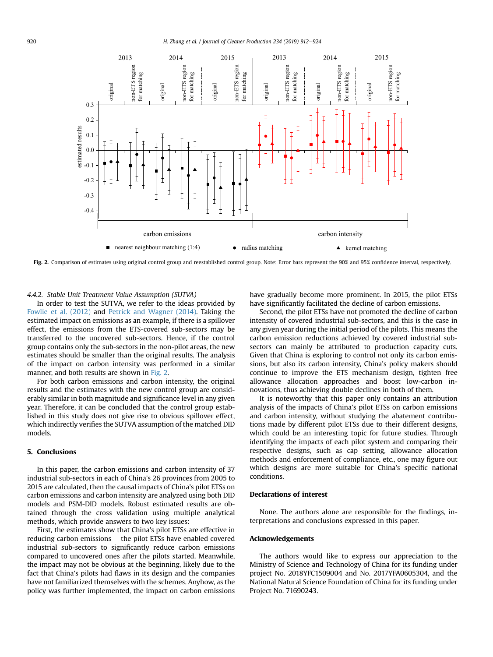<span id="page-8-0"></span>

Fig. 2. Comparison of estimates using original control group and reestablished control group. Note: Error bars represent the 90% and 95% confidence interval, respectively.

4.4.2. Stable Unit Treatment Value Assumption (SUTVA)

In order to test the SUTVA, we refer to the ideas provided by [Fowlie et al. \(2012\)](#page-11-0) and [Petrick and Wagner \(2014\)](#page-11-0). Taking the estimated impact on emissions as an example, if there is a spillover effect, the emissions from the ETS-covered sub-sectors may be transferred to the uncovered sub-sectors. Hence, if the control group contains only the sub-sectors in the non-pilot areas, the new estimates should be smaller than the original results. The analysis of the impact on carbon intensity was performed in a similar manner, and both results are shown in Fig. 2.

For both carbon emissions and carbon intensity, the original results and the estimates with the new control group are considerably similar in both magnitude and significance level in any given year. Therefore, it can be concluded that the control group established in this study does not give rise to obvious spillover effect, which indirectly verifies the SUTVA assumption of the matched DID models.

# 5. Conclusions

In this paper, the carbon emissions and carbon intensity of 37 industrial sub-sectors in each of China's 26 provinces from 2005 to 2015 are calculated, then the causal impacts of China's pilot ETSs on carbon emissions and carbon intensity are analyzed using both DID models and PSM-DID models. Robust estimated results are obtained through the cross validation using multiple analytical methods, which provide answers to two key issues:

First, the estimates show that China's pilot ETSs are effective in reducing carbon emissions  $-$  the pilot ETSs have enabled covered industrial sub-sectors to significantly reduce carbon emissions compared to uncovered ones after the pilots started. Meanwhile, the impact may not be obvious at the beginning, likely due to the fact that China's pilots had flaws in its design and the companies have not familiarized themselves with the schemes. Anyhow, as the policy was further implemented, the impact on carbon emissions have gradually become more prominent. In 2015, the pilot ETSs have significantly facilitated the decline of carbon emissions.

Second, the pilot ETSs have not promoted the decline of carbon intensity of covered industrial sub-sectors, and this is the case in any given year during the initial period of the pilots. This means the carbon emission reductions achieved by covered industrial subsectors can mainly be attributed to production capacity cuts. Given that China is exploring to control not only its carbon emissions, but also its carbon intensity, China's policy makers should continue to improve the ETS mechanism design, tighten free allowance allocation approaches and boost low-carbon innovations, thus achieving double declines in both of them.

It is noteworthy that this paper only contains an attribution analysis of the impacts of China's pilot ETSs on carbon emissions and carbon intensity, without studying the abatement contributions made by different pilot ETSs due to their different designs, which could be an interesting topic for future studies. Through identifying the impacts of each pilot system and comparing their respective designs, such as cap setting, allowance allocation methods and enforcement of compliance, etc., one may figure out which designs are more suitable for China's specific national conditions.

#### Declarations of interest

None. The authors alone are responsible for the findings, interpretations and conclusions expressed in this paper.

## Acknowledgements

The authors would like to express our appreciation to the Ministry of Science and Technology of China for its funding under project No. 2018YFC1509004 and No. 2017YFA0605304, and the National Natural Science Foundation of China for its funding under Project No. 71690243.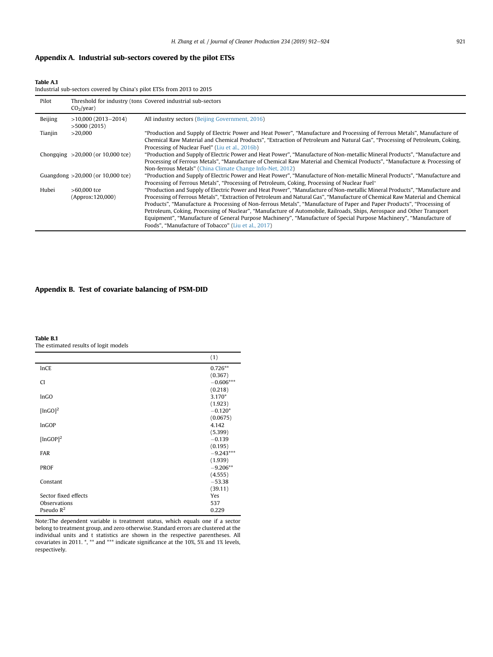# <span id="page-9-0"></span>Appendix A. Industrial sub-sectors covered by the pilot ETSs

Table A.1

Industrial sub-sectors covered by China's pilot ETSs from 2013 to 2015

| Pilot   | $CO2/year$ )                        | Threshold for industry (tons Covered industrial sub-sectors                                                                                                                                                                                                                                                                                                                                                                                                                                                                                                                                                                                                                                  |
|---------|-------------------------------------|----------------------------------------------------------------------------------------------------------------------------------------------------------------------------------------------------------------------------------------------------------------------------------------------------------------------------------------------------------------------------------------------------------------------------------------------------------------------------------------------------------------------------------------------------------------------------------------------------------------------------------------------------------------------------------------------|
| Beijing | $>10,000(2013-2014)$<br>>5000(2015) | All industry sectors (Beijing Government, 2016)                                                                                                                                                                                                                                                                                                                                                                                                                                                                                                                                                                                                                                              |
| Tianjin | >20.000                             | "Production and Supply of Electric Power and Heat Power", "Manufacture and Processing of Ferrous Metals", Manufacture of<br>Chemical Raw Material and Chemical Products", "Extraction of Petroleum and Natural Gas", "Processing of Petroleum, Coking,<br>Processing of Nuclear Fuel" (Liu et al., 2016b)                                                                                                                                                                                                                                                                                                                                                                                    |
|         | Chongqing $>20,000$ (or 10,000 tce) | "Production and Supply of Electric Power and Heat Power", "Manufacture of Non-metallic Mineral Products", "Manufacture and<br>Processing of Ferrous Metals", "Manufacture of Chemical Raw Material and Chemical Products", "Manufacture & Processing of<br>Non-ferrous Metals" (China Climate Change Info-Net, 2012)                                                                                                                                                                                                                                                                                                                                                                         |
|         | Guangdong $>20,000$ (or 10,000 tce) | "Production and Supply of Electric Power and Heat Power", "Manufacture of Non-metallic Mineral Products", "Manufacture and<br>Processing of Ferrous Metals", "Processing of Petroleum, Coking, Processing of Nuclear Fuel"                                                                                                                                                                                                                                                                                                                                                                                                                                                                   |
| Hubei   | $>60.000$ tce<br>(Approx: 120,000)  | "Production and Supply of Electric Power and Heat Power", "Manufacture of Non-metallic Mineral Products", "Manufacture and<br>Processing of Ferrous Metals", "Extraction of Petroleum and Natural Gas", "Manufacture of Chemical Raw Material and Chemical<br>Products", "Manufacture & Processing of Non-ferrous Metals", "Manufacture of Paper and Paper Products", "Processing of<br>Petroleum, Coking, Processing of Nuclear", "Manufacture of Automobile, Railroads, Ships, Aerospace and Other Transport<br>Equipment", "Manufacture of General Purpose Machinery", "Manufacture of Special Purpose Machinery", "Manufacture of<br>Foods", "Manufacture of Tobacco" (Liu et al., 2017) |

# Appendix B. Test of covariate balancing of PSM-DID

Table B.1

The estimated results of logit models

|                        | (1)         |
|------------------------|-------------|
| <b>InCE</b>            | $0.726**$   |
|                        | (0.367)     |
| <b>CI</b>              | $-0.606***$ |
|                        | (0.218)     |
| lnGO                   | $3.170*$    |
|                        | (1.923)     |
| [lnGO] <sup>2</sup>    | $-0.120*$   |
|                        | (0.0675)    |
| InGOP                  | 4.142       |
|                        | (5.399)     |
| $[lnGOP]$ <sup>2</sup> | $-0.139$    |
|                        | (0.195)     |
| <b>FAR</b>             | $-9.243***$ |
|                        | (1.939)     |
| <b>PROF</b>            | $-9.206**$  |
|                        | (4.555)     |
| Constant               | $-53.38$    |
|                        | (39.11)     |
| Sector fixed effects   | Yes         |
| Observations           | 537         |
| Pseudo $R^2$           | 0.229       |

Note:The dependent variable is treatment status, which equals one if a sector belong to treatment group, and zero otherwise. Standard errors are clustered at the individual units and t statistics are shown in the respective parentheses. All covariates in 2011. \*, \*\* and \*\*\* indicate significance at the 10%, 5% and 1% levels, respectively.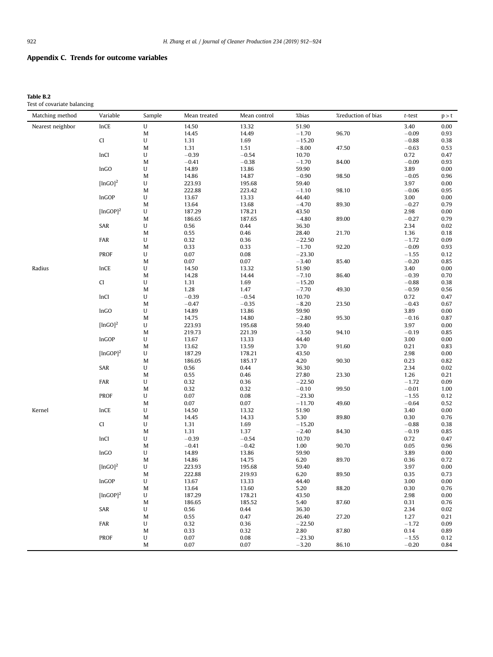# Appendix C. Trends for outcome variables

# Table B.2

Test of covariate balancing

| Matching method  | Variable               | Sample                                                                                                     | Mean treated       | Mean control       | %bias            | %reduction of bias | $t$ -test       | p > t        |
|------------------|------------------------|------------------------------------------------------------------------------------------------------------|--------------------|--------------------|------------------|--------------------|-----------------|--------------|
| Nearest neighbor | <b>InCE</b>            | ${\bf U}$                                                                                                  | 14.50              | 13.32              | 51.90            |                    | 3.40            | 0.00         |
|                  |                        | M                                                                                                          | 14.45              | 14.49              | $-1.70$          | 96.70              | $-0.09$         | 0.93         |
|                  | CI                     | U                                                                                                          | 1.31               | 1.69               | $-15.20$         |                    | $-0.88$         | 0.38         |
|                  |                        | M                                                                                                          | 1.31               | 1.51               | $-8.00\,$        | 47.50              | $-0.63$         | 0.53         |
|                  | lnCI                   | U                                                                                                          | $-0.39$            | $-0.54$            | 10.70            |                    | 0.72            | 0.47         |
|                  |                        | M                                                                                                          | $-0.41$            | $-0.38$            | $-1.70$          | 84.00              | $-0.09$         | 0.93         |
|                  | InGO                   | ${\bf U}$                                                                                                  | 14.89              | 13.86              | 59.90            |                    | 3.89            | 0.00         |
|                  |                        | M                                                                                                          | 14.86              | 14.87              | $-0.90$          | 98.50              | $-0.05$         | 0.96         |
|                  | [lnGO] <sup>2</sup>    | U                                                                                                          | 223.93             | 195.68             | 59.40            |                    | 3.97            | 0.00         |
|                  |                        | M                                                                                                          | 222.88             | 223.42             | $-1.10$          | 98.10              | $-0.06$         | 0.95         |
|                  | InGOP                  | $\mathsf{U}% _{T}=\mathsf{U}_{T}\!\left( a,b\right) ,\ \mathsf{U}_{T}=\mathsf{U}_{T}\!\left( a,b\right) ,$ | 13.67              | 13.33              | 44.40            |                    | 3.00            | 0.00         |
|                  |                        | M                                                                                                          | 13.64              | 13.68              | $-4.70$          | 89.30              | $-0.27$         | 0.79         |
|                  | $[lnGOP]$ <sup>2</sup> | U                                                                                                          | 187.29             | 178.21             | 43.50            |                    | 2.98            | 0.00         |
|                  |                        | M                                                                                                          | 186.65             | 187.65             | $-4.80$          | 89.00              | $-0.27$         | 0.79         |
|                  | SAR                    | $\mathsf{U}% _{T}=\mathsf{U}_{T}\!\left( a,b\right) ,\ \mathsf{U}_{T}=\mathsf{U}_{T}\!\left( a,b\right) ,$ | 0.56               | 0.44               | 36.30            |                    | 2.34            | 0.02         |
|                  |                        | M                                                                                                          | 0.55               | 0.46               | 28.40            | 21.70              | 1.36            | 0.18         |
|                  | FAR                    | U                                                                                                          | 0.32               | 0.36               | $-22.50$         |                    | $-1.72$         | 0.09         |
|                  |                        | M                                                                                                          | 0.33               | 0.33               | $-1.70$          | 92.20              | $-0.09$         | 0.93         |
|                  | PROF                   | ${\bf U}$                                                                                                  | 0.07               | 0.08               | $-23.30$         |                    | $-1.55$         | 0.12         |
|                  |                        | M                                                                                                          | 0.07               | 0.07               | $-3.40$          | 85.40              | $-0.20$         | 0.85         |
| Radius           | lnCE                   | $\sf U$                                                                                                    | 14.50              | 13.32              | 51.90            |                    | 3.40            | 0.00         |
|                  |                        | M                                                                                                          | 14.28              | 14.44              | $-7.10$          | 86.40              | $-0.39$         | 0.70         |
|                  | CI                     | U                                                                                                          | 1.31               | 1.69               | $-15.20$         |                    | $-0.88$         | 0.38         |
|                  |                        | M                                                                                                          | 1.28               | 1.47               | $-7.70$          | 49.30              | $-0.59$         | 0.56         |
|                  | lnCI                   | $\mathsf{U}% _{T}=\mathsf{U}_{T}\!\left( a,b\right) ,\ \mathsf{U}_{T}=\mathsf{U}_{T}\!\left( a,b\right) ,$ | $-0.39$<br>$-0.47$ | $-0.54$<br>$-0.35$ | 10.70<br>$-8.20$ | 23.50              | 0.72<br>$-0.43$ | 0.47<br>0.67 |
|                  | InGO                   | M<br>U                                                                                                     | 14.89              | 13.86              | 59.90            |                    | 3.89            | 0.00         |
|                  |                        | M                                                                                                          | 14.75              | 14.80              | $-2.80$          | 95.30              | $-0.16$         | 0.87         |
|                  | [lnGO] <sup>2</sup>    | $\sf U$                                                                                                    | 223.93             | 195.68             | 59.40            |                    | 3.97            | 0.00         |
|                  |                        | M                                                                                                          | 219.73             | 221.39             | $-3.50$          | 94.10              | $-0.19$         | 0.85         |
|                  | InGOP                  | U                                                                                                          | 13.67              | 13.33              | 44.40            |                    | 3.00            | 0.00         |
|                  |                        | M                                                                                                          | 13.62              | 13.59              | 3.70             | 91.60              | 0.21            | 0.83         |
|                  | [lnGOP] <sup>2</sup>   | U                                                                                                          | 187.29             | 178.21             | 43.50            |                    | 2.98            | 0.00         |
|                  |                        | M                                                                                                          | 186.05             | 185.17             | 4.20             | 90.30              | 0.23            | 0.82         |
|                  | SAR                    | $\sf U$                                                                                                    | 0.56               | 0.44               | 36.30            |                    | 2.34            | 0.02         |
|                  |                        | M                                                                                                          | 0.55               | 0.46               | 27.80            | 23.30              | 1.26            | 0.21         |
|                  | FAR                    | U                                                                                                          | 0.32               | 0.36               | $-22.50$         |                    | $-1.72$         | 0.09         |
|                  |                        | M                                                                                                          | 0.32               | 0.32               | $-0.10$          | 99.50              | $-0.01$         | 1.00         |
|                  | <b>PROF</b>            | ${\bf U}$                                                                                                  | 0.07               | 0.08               | $-23.30$         |                    | $-1.55$         | 0.12         |
|                  |                        | M                                                                                                          | 0.07               | 0.07               | $-11.70$         | 49.60              | $-0.64$         | 0.52         |
| Kernel           | InCE                   | U                                                                                                          | 14.50              | 13.32              | 51.90            |                    | 3.40            | 0.00         |
|                  |                        | M                                                                                                          | 14.45              | 14.33              | 5.30             | 89.80              | 0.30            | 0.76         |
|                  | CI                     | $\sf U$                                                                                                    | 1.31               | 1.69               | $-15.20$         |                    | $-0.88$         | 0.38         |
|                  |                        | M                                                                                                          | 1.31               | 1.37               | $-2.40$          | 84.30              | $-0.19$         | 0.85         |
|                  | lnCI                   | U                                                                                                          | $-0.39$            | $-0.54$            | 10.70            |                    | 0.72            | 0.47         |
|                  |                        | M                                                                                                          | $-0.41$            | $-0.42$            | 1.00             | 90.70              | 0.05            | 0.96         |
|                  | InGO                   | U<br>M                                                                                                     | 14.89<br>14.86     | 13.86<br>14.75     | 59.90<br>6.20    |                    | 3.89<br>0.36    | 0.00<br>0.72 |
|                  | [lnGO] <sup>2</sup>    | $\sf U$                                                                                                    | 223.93             | 195.68             | 59.40            | 89.70              | 3.97            | 0.00         |
|                  |                        | M                                                                                                          | 222.88             | 219.93             | 6.20             | 89.50              | 0.35            | 0.73         |
|                  | InGOP                  | U                                                                                                          | 13.67              | 13.33              | 44.40            |                    | 3.00            | 0.00         |
|                  |                        | M                                                                                                          | 13.64              | 13.60              | 5.20             | 88.20              | 0.30            | 0.76         |
|                  | [lnGOP] <sup>2</sup>   | ${\bf U}$                                                                                                  | 187.29             | 178.21             | 43.50            |                    | 2.98            | $0.00\,$     |
|                  |                        | M                                                                                                          | 186.65             | 185.52             | 5.40             | 87.60              | 0.31            | $0.76\,$     |
|                  | SAR                    | U                                                                                                          | 0.56               | 0.44               | 36.30            |                    | 2.34            | 0.02         |
|                  |                        | M                                                                                                          | 0.55               | 0.47               | 26.40            | 27.20              | 1.27            | 0.21         |
|                  | FAR                    | U                                                                                                          | 0.32               | 0.36               | $-22.50$         |                    | $-1.72$         | 0.09         |
|                  |                        | M                                                                                                          | 0.33               | 0.32               | 2.80             | 87.80              | 0.14            | 0.89         |
|                  | <b>PROF</b>            | U                                                                                                          | 0.07               | 0.08               | $-23.30$         |                    | $-1.55$         | 0.12         |
|                  |                        | $\mathbf M$                                                                                                | 0.07               | 0.07               | $-3.20$          | 86.10              | $-0.20$         | 0.84         |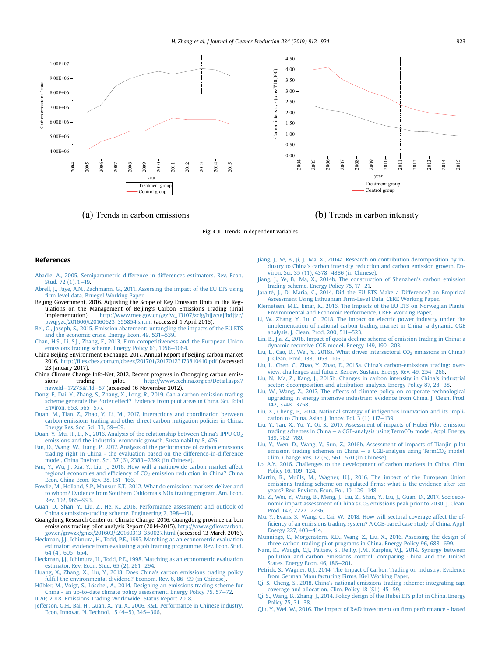<span id="page-11-0"></span>

(a) Trends in carbon emissions (b) Trends in carbon intensity

Fig. C.1. Trends in dependent variables

#### References

- [Abadie, A., 2005. Semiparametric difference-in-differences estimators. Rev. Econ.](http://refhub.elsevier.com/S0959-6526(19)32212-7/sref1) Stud. 72 $(1)$ , 1-[19.](http://refhub.elsevier.com/S0959-6526(19)32212-7/sref1)
- [Abrell, J., Faye, A.N., Zachmann, G., 2011. Assessing the impact of the EU ETS using](http://refhub.elsevier.com/S0959-6526(19)32212-7/sref2) fi[rm level data. Bruegel Working Paper](http://refhub.elsevier.com/S0959-6526(19)32212-7/sref2).
- Beijing Government, 2016. Adjusting the Scope of Key Emission Units in the Regulations on the Management of Beijing's Carbon Emissions Trading (Trial<br>Implementation). http://www.mee.gov.cn//gzfw 13107/zcfg/hiizc/gifbdiizc/ [http://www.mee.gov.cn//gzfw\\_13107/zcfg/hjjzc/gjfbdjjzc/](http://www.mee.gov.cn//gzfw_13107/zcfg/hjjzc/gjfbdjjzc/pwqjyzc/201606/t20160623_355854.shtml) [pwqjyzc/201606/t20160623\\_355854.shtml](http://www.mee.gov.cn//gzfw_13107/zcfg/hjjzc/gjfbdjjzc/pwqjyzc/201606/t20160623_355854.shtml) (accessed 1 April 2016).
- [Bel, G., Joseph, S., 2015. Emission abatement: untangling the impacts of the EU ETS](http://refhub.elsevier.com/S0959-6526(19)32212-7/sref4) and the economic crisis. Energy Econ.  $49, 531-539$ .
- [Chan, H.S., Li, S.J., Zhang, F., 2013. Firm competitiveness and the European Union](http://refhub.elsevier.com/S0959-6526(19)32212-7/sref5) [emissions trading scheme. Energy Policy 63, 1056](http://refhub.elsevier.com/S0959-6526(19)32212-7/sref5)-[1064](http://refhub.elsevier.com/S0959-6526(19)32212-7/sref5)
- China Beijing Environment Exchange, 2017. Annual Report of Beijing carbon market 2016. http://fi[les.cbex.com.cn/cbeex/201701/20170123173810410.pdf](http://files.cbex.com.cn/cbeex/201701/20170123173810410.pdf) (accessed 23 January 2017).
- China Climate Change Info-Net, 2012. Recent progress in Chongqing carbon emissions trading pilot. [http://www.ccchina.org.cn/Detail.aspx?](http://www.ccchina.org.cn/Detail.aspx?newsId=17275&TId=57) [newsId](http://www.ccchina.org.cn/Detail.aspx?newsId=17275&TId=57)= $17275 \& TId = 57$  $17275 \& TId = 57$  $17275 \& TId = 57$  $17275 \& TId = 57$  $17275 \& TId = 57$  (accessed 16 November 2012).
- [Dong, F., Dai, Y., Zhang, S., Zhang, X., Long, R., 2019. Can a carbon emission trading](http://refhub.elsevier.com/S0959-6526(19)32212-7/sref8) [scheme generate the Porter effect? Evidence from pilot areas in China. Sci. Total](http://refhub.elsevier.com/S0959-6526(19)32212-7/sref8) [Environ. 653, 565](http://refhub.elsevier.com/S0959-6526(19)32212-7/sref8)-[577.](http://refhub.elsevier.com/S0959-6526(19)32212-7/sref8)
- [Duan, M., Tian, Z., Zhao, Y., Li, M., 2017. Interactions and coordination between](http://refhub.elsevier.com/S0959-6526(19)32212-7/sref9) [carbon emissions trading and other direct carbon mitigation policies in China.](http://refhub.elsevier.com/S0959-6526(19)32212-7/sref9)<br>[Energy Res. Soc. Sci. 33, 59](http://refhub.elsevier.com/S0959-6526(19)32212-7/sref9)–[69](http://refhub.elsevier.com/S0959-6526(19)32212-7/sref9).
- Duan, Y., Mu, H., Li, N., 2016. Analysis of the relationship between China's IPPU CO<sub>2</sub> [emissions and the industrial economic growth. Sustainability 8, 426.](http://refhub.elsevier.com/S0959-6526(19)32212-7/sref10)
- [Fan, D., Wang, W., Liang, P., 2017. Analysis of the performance of carbon emissions](http://refhub.elsevier.com/S0959-6526(19)32212-7/sref11) [trading right in China - the evaluation based on the difference-in-difference](http://refhub.elsevier.com/S0959-6526(19)32212-7/sref11) [model. China Environ. Sci. 37 \(6\), 2383](http://refhub.elsevier.com/S0959-6526(19)32212-7/sref11)-[2392 \(in Chinese\)](http://refhub.elsevier.com/S0959-6526(19)32212-7/sref11).
- [Fan, Y., Wu, J., Xia, Y., Liu, J., 2016. How will a nationwide carbon market affect](http://refhub.elsevier.com/S0959-6526(19)32212-7/sref12) [regional economies and ef](http://refhub.elsevier.com/S0959-6526(19)32212-7/sref12)ficiency of CO<sub>2</sub> [emission reduction in China? China](http://refhub.elsevier.com/S0959-6526(19)32212-7/sref12) Econ. China Econ. Rev.  $38.151 - 166$ .
- [Fowlie, M., Holland, S.P., Mansur, E.T., 2012. What do emissions markets deliver and](http://refhub.elsevier.com/S0959-6526(19)32212-7/sref13) [to whom? Evidence from Southern California's NOx trading program. Am. Econ.](http://refhub.elsevier.com/S0959-6526(19)32212-7/sref13) [Rev. 102, 965](http://refhub.elsevier.com/S0959-6526(19)32212-7/sref13)-[993.](http://refhub.elsevier.com/S0959-6526(19)32212-7/sref13)
- [Guan, D., Shan, Y., Liu, Z., He, K., 2016. Performance assessment and outlook of](http://refhub.elsevier.com/S0959-6526(19)32212-7/sref14) [China's emission-trading scheme. Engineering 2, 398](http://refhub.elsevier.com/S0959-6526(19)32212-7/sref14)–[401.](http://refhub.elsevier.com/S0959-6526(19)32212-7/sref14)
- Guangdong Research Center on Climate Change, 2016. Guangdong province carbon emissions trading pilot analysis Report (2014-2015). [http://www.gdlowcarbon.](http://www.gdlowcarbon.gov.cn/gnwzx/gnzx/201603/t20160313_350027.html) [gov.cn/gnwzx/gnzx/201603/t20160313\\_350027.html](http://www.gdlowcarbon.gov.cn/gnwzx/gnzx/201603/t20160313_350027.html) (accessed 13 March 2016).
- [Heckman, J.J., Ichimura, H., Todd, P.E., 1997. Matching as an econometric evaluation](http://refhub.elsevier.com/S0959-6526(19)32212-7/sref16) [estimator: evidence from evaluating a job training programme. Rev. Econ. Stud.](http://refhub.elsevier.com/S0959-6526(19)32212-7/sref16) [64 \(4\), 605](http://refhub.elsevier.com/S0959-6526(19)32212-7/sref16)-[654](http://refhub.elsevier.com/S0959-6526(19)32212-7/sref16).
- [Heckman, J.J., Ichimura, H., Todd, P.E., 1998. Matching as an econometric evaluation](http://refhub.elsevier.com/S0959-6526(19)32212-7/sref17) [estimator. Rev. Econ. Stud. 65 \(2\), 261](http://refhub.elsevier.com/S0959-6526(19)32212-7/sref17)-[294](http://refhub.elsevier.com/S0959-6526(19)32212-7/sref17).
- [Huang, X., Zhang, X., Liu, Y., 2018. Does China's carbon emissions trading policy](http://refhub.elsevier.com/S0959-6526(19)32212-7/sref18) fulfi[ll the environmental dividend? Econom. Rev. 6, 86](http://refhub.elsevier.com/S0959-6526(19)32212-7/sref18)-[99 \(in Chinese\).](http://refhub.elsevier.com/S0959-6526(19)32212-7/sref18)
- [Hübler, M., Voigt, S., L](http://refhub.elsevier.com/S0959-6526(19)32212-7/sref19)ö[schel, A., 2014. Designing an emissions trading scheme for](http://refhub.elsevier.com/S0959-6526(19)32212-7/sref19) [China - an up-to-date climate policy assessment. Energy Policy 75, 57](http://refhub.elsevier.com/S0959-6526(19)32212-7/sref19)-[72.](http://refhub.elsevier.com/S0959-6526(19)32212-7/sref19) [ICAP, 2018. Emissions Trading Worldwide: Status Report 2018](http://refhub.elsevier.com/S0959-6526(19)32212-7/sref20).
- [Jefferson, G.H., Bai, H., Guan, X., Yu, X., 2006. R](http://refhub.elsevier.com/S0959-6526(19)32212-7/sref21)&[D Performance in Chinese industry.](http://refhub.elsevier.com/S0959-6526(19)32212-7/sref21) Econ. Innovat. N. Technol. 15  $(4-5)$ , 345-[366](http://refhub.elsevier.com/S0959-6526(19)32212-7/sref21).
- [Jiang, J., Ye, B., Ji, J., Ma, X., 2014a. Research on contribution decomposition by in](http://refhub.elsevier.com/S0959-6526(19)32212-7/sref22)[dustry to China's carbon intensity reduction and carbon emission growth. En](http://refhub.elsevier.com/S0959-6526(19)32212-7/sref22)[viron. Sci. 35 \(11\), 4378](http://refhub.elsevier.com/S0959-6526(19)32212-7/sref22)-[4386 \(in Chinese\).](http://refhub.elsevier.com/S0959-6526(19)32212-7/sref22)
- [Jiang, J., Ye, B., Ma, X., 2014b. The construction of Shenzhen's carbon emission](http://refhub.elsevier.com/S0959-6526(19)32212-7/sref23) [trading scheme. Energy Policy 75, 17](http://refhub.elsevier.com/S0959-6526(19)32212-7/sref23)-[21.](http://refhub.elsevier.com/S0959-6526(19)32212-7/sref23)
- [Jarait](http://refhub.elsevier.com/S0959-6526(19)32212-7/sref24)ė[, J., Di Maria, C., 2014. Did the EU ETS Make a Difference? an Empirical](http://refhub.elsevier.com/S0959-6526(19)32212-7/sref24) [Assessment Using Lithuanian Firm-Level Data. CERE Working Paper.](http://refhub.elsevier.com/S0959-6526(19)32212-7/sref24)
- [Klemetsen, M.E., Einar, K., 2016. The Impacts of the EU ETS on Norwegian Plants'](http://refhub.elsevier.com/S0959-6526(19)32212-7/sref25) [Environmental and Economic Performence. CREE Working Paper.](http://refhub.elsevier.com/S0959-6526(19)32212-7/sref25)
- [Li, W., Zhang, Y., Lu, C., 2018. The impact on electric power industry under the](http://refhub.elsevier.com/S0959-6526(19)32212-7/sref26) [implementation of national carbon trading market in China: a dynamic CGE](http://refhub.elsevier.com/S0959-6526(19)32212-7/sref26) [analysis. J. Clean. Prod. 200, 511](http://refhub.elsevier.com/S0959-6526(19)32212-7/sref26)-[523.](http://refhub.elsevier.com/S0959-6526(19)32212-7/sref26)
- [Lin, B., Jia, Z., 2018. Impact of quota decline scheme of emission trading in China: a](http://refhub.elsevier.com/S0959-6526(19)32212-7/sref27) [dynamic recursive CGE model. Energy 149, 190](http://refhub.elsevier.com/S0959-6526(19)32212-7/sref27)-[203.](http://refhub.elsevier.com/S0959-6526(19)32212-7/sref27)
- Liu, L., Cao, D., Wei, Y., 2016a. What drives intersectoral CO<sub>2</sub> [emissions in China?](http://refhub.elsevier.com/S0959-6526(19)32212-7/sref28) [J. Clean. Prod. 133, 1053](http://refhub.elsevier.com/S0959-6526(19)32212-7/sref28)-[1061.](http://refhub.elsevier.com/S0959-6526(19)32212-7/sref28)
- [Liu, L., Chen, C., Zhao, Y., Zhao, E., 2015a. China's carbon-emissions trading: over](http://refhub.elsevier.com/S0959-6526(19)32212-7/sref29)[view, challenges and future. Renew. Sustain. Energy Rev. 49, 254](http://refhub.elsevier.com/S0959-6526(19)32212-7/sref29)-[266.](http://refhub.elsevier.com/S0959-6526(19)32212-7/sref29)
- [Liu, N., Ma, Z., Kang, J., 2015b. Changes in carbon intensity in China's industrial](http://refhub.elsevier.com/S0959-6526(19)32212-7/sref30) [sector: decomposition and attribution analysis. Energy Policy 87, 28](http://refhub.elsevier.com/S0959-6526(19)32212-7/sref30)-[38.](http://refhub.elsevier.com/S0959-6526(19)32212-7/sref30)
- [Liu, W., Wang, Z., 2017. The effects of climate policy on corporate technological](http://refhub.elsevier.com/S0959-6526(19)32212-7/sref31) [upgrading in energy intensive industries: evidence from China. J. Clean. Prod.](http://refhub.elsevier.com/S0959-6526(19)32212-7/sref31) [142, 3748](http://refhub.elsevier.com/S0959-6526(19)32212-7/sref31)-[3758.](http://refhub.elsevier.com/S0959-6526(19)32212-7/sref31)
- [Liu, X., Cheng, P., 2014. National strategy of indigenous innovation and its impli](http://refhub.elsevier.com/S0959-6526(19)32212-7/sref32)cation to China. Asian J. Innov. Pol.  $3(1)$ , 117-[139](http://refhub.elsevier.com/S0959-6526(19)32212-7/sref32).
- [Liu, Y., Tan, X., Yu, Y., Qi, S., 2017. Assessment of impacts of Hubei Pilot emission](http://refhub.elsevier.com/S0959-6526(19)32212-7/sref33) [trading schemes in China](http://refhub.elsevier.com/S0959-6526(19)32212-7/sref33)  $-$  a CGE-analysis using  $TermCO<sub>2</sub>$  [model. Appl. Energy](http://refhub.elsevier.com/S0959-6526(19)32212-7/sref33) [189, 762](http://refhub.elsevier.com/S0959-6526(19)32212-7/sref33)-[769](http://refhub.elsevier.com/S0959-6526(19)32212-7/sref33).
- [Liu, Y., Wen, D., Wang, Y., Sun, Z., 2016b. Assessment of impacts of Tianjin pilot](http://refhub.elsevier.com/S0959-6526(19)32212-7/sref34) [emission trading schemes in China](http://refhub.elsevier.com/S0959-6526(19)32212-7/sref34)  $-$  a CGE-analysis using TermCO<sub>2</sub> [model.](http://refhub.elsevier.com/S0959-6526(19)32212-7/sref34) Clim. Change Res. 12 (6),  $561-570$  (in Chinese).
- [Lo, A.Y., 2016. Challenges to the development of carbon markets in China. Clim.](http://refhub.elsevier.com/S0959-6526(19)32212-7/sref35) [Policy 16, 109](http://refhub.elsevier.com/S0959-6526(19)32212-7/sref35)-[124.](http://refhub.elsevier.com/S0959-6526(19)32212-7/sref35)
- [Martin, R., Muûls, M., Wagner, U.J., 2016. The impact of the European Union](http://refhub.elsevier.com/S0959-6526(19)32212-7/sref36) [emissions trading scheme on regulated](http://refhub.elsevier.com/S0959-6526(19)32212-7/sref36) firms: what is the evidence after ten [years? Rev. Environ. Econ. Pol. 10, 129](http://refhub.elsevier.com/S0959-6526(19)32212-7/sref36)-[148.](http://refhub.elsevier.com/S0959-6526(19)32212-7/sref36)
- [Mi, Z., Wei, Y., Wang, B., Meng, J., Liu, Z., Shan, Y., Liu, J., Guan, D., 2017. Socioeco](http://refhub.elsevier.com/S0959-6526(19)32212-7/sref37)nomic impact assessment of China's CO<sub>2</sub> [emissions peak prior to 2030. J. Clean.](http://refhub.elsevier.com/S0959-6526(19)32212-7/sref37) [Prod. 142, 2227](http://refhub.elsevier.com/S0959-6526(19)32212-7/sref37)-[2236.](http://refhub.elsevier.com/S0959-6526(19)32212-7/sref37)
- [Mu, Y., Evans, S., Wang, C., Cai, W., 2018. How will sectoral coverage affect the ef](http://refhub.elsevier.com/S0959-6526(19)32212-7/sref38)fi[ciency of an emissions trading system? A CGE-based case study of China. Appl.](http://refhub.elsevier.com/S0959-6526(19)32212-7/sref38) [Energy 227, 403](http://refhub.elsevier.com/S0959-6526(19)32212-7/sref38)-[414](http://refhub.elsevier.com/S0959-6526(19)32212-7/sref38).
- [Munnings, C., Morgenstern, R.D., Wang, Z., Liu, X., 2016. Assessing the design of](http://refhub.elsevier.com/S0959-6526(19)32212-7/sref39) [three carbon trading pilot programs in China. Energy Policy 96, 688](http://refhub.elsevier.com/S0959-6526(19)32212-7/sref39)–[699.](http://refhub.elsevier.com/S0959-6526(19)32212-7/sref39)
- [Nam, K., Waugh, C.J., Paltsev, S., Reilly, J.M., Karplus, V.J., 2014. Synergy between](http://refhub.elsevier.com/S0959-6526(19)32212-7/sref40) [pollution and carbon emissions control: comparing China and the United](http://refhub.elsevier.com/S0959-6526(19)32212-7/sref40) States. Energy Econ.  $46, 186 - 201$ .
- [Petrick, S., Wagner, U.J., 2014. The Impact of Carbon Trading on Industry: Evidence](http://refhub.elsevier.com/S0959-6526(19)32212-7/sref41) [from German Manufacturing Firms. Kiel Working Paper.](http://refhub.elsevier.com/S0959-6526(19)32212-7/sref41)
- [Qi, S., Cheng, S., 2018. China's national emissions trading scheme: integrating cap,](http://refhub.elsevier.com/S0959-6526(19)32212-7/sref42) coverage and allocation. Clim. Policy 18  $(S1)$ , 45-[59](http://refhub.elsevier.com/S0959-6526(19)32212-7/sref42).
- [Qi, S., Wang, B., Zhang, J., 2014. Policy design of the Hubei ETS pilot in China. Energy](http://refhub.elsevier.com/S0959-6526(19)32212-7/sref43) [Policy 75, 31](http://refhub.elsevier.com/S0959-6526(19)32212-7/sref43)-[38](http://refhub.elsevier.com/S0959-6526(19)32212-7/sref43).
- [Qiu, Y., Wei, W., 2016. The impact of R](http://refhub.elsevier.com/S0959-6526(19)32212-7/sref44)&D investment on fi[rm performance based](http://refhub.elsevier.com/S0959-6526(19)32212-7/sref44)